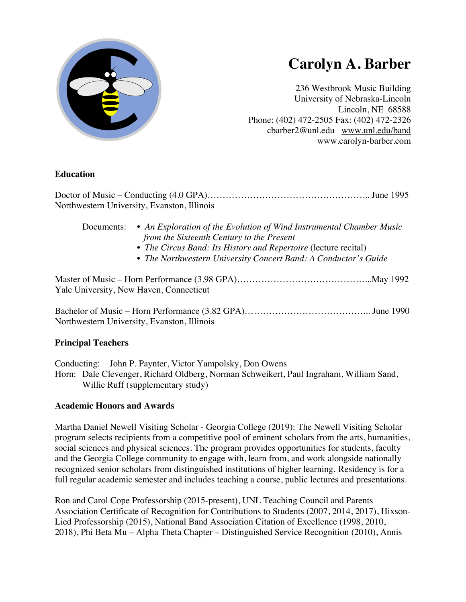

# **Carolyn A. Barber**

236 Westbrook Music Building University of Nebraska-Lincoln Lincoln, NE 68588 Phone: (402) 472-2505 Fax: (402) 472-2326 cbarber2@unl.edu www.unl.edu/band www.carolyn-barber.com

## **Education**

Doctor of Music – Conducting (4.0 GPA)……………………………………………... June 1995 Northwestern University, Evanston, Illinois

- Documents: *An Exploration of the Evolution of Wind Instrumental Chamber Music from the Sixteenth Century to the Present*
	- *The Circus Band: Its History and Repertoire* (lecture recital)
	- *The Northwestern University Concert Band: A Conductor's Guide*

Master of Music – Horn Performance (3.98 GPA)……………………………………...May 1992 Yale University, New Haven, Connecticut

Bachelor of Music – Horn Performance (3.82 GPA)…………………………………... June 1990 Northwestern University, Evanston, Illinois

## **Principal Teachers**

Conducting: John P. Paynter, Victor Yampolsky, Don Owens Horn: Dale Clevenger, Richard Oldberg, Norman Schweikert, Paul Ingraham, William Sand, Willie Ruff (supplementary study)

## **Academic Honors and Awards**

Martha Daniel Newell Visiting Scholar - Georgia College (2019): The Newell Visiting Scholar program selects recipients from a competitive pool of eminent scholars from the arts, humanities, social sciences and physical sciences. The program provides opportunities for students, faculty and the Georgia College community to engage with, learn from, and work alongside nationally recognized senior scholars from distinguished institutions of higher learning. Residency is for a full regular academic semester and includes teaching a course, public lectures and presentations.

Ron and Carol Cope Professorship (2015-present), UNL Teaching Council and Parents Association Certificate of Recognition for Contributions to Students (2007, 2014, 2017), Hixson-Lied Professorship (2015), National Band Association Citation of Excellence (1998, 2010, 2018), Phi Beta Mu – Alpha Theta Chapter – Distinguished Service Recognition (2010), Annis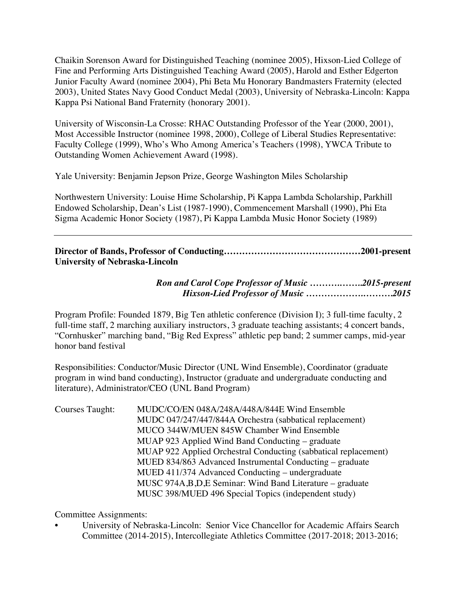Chaikin Sorenson Award for Distinguished Teaching (nominee 2005), Hixson-Lied College of Fine and Performing Arts Distinguished Teaching Award (2005), Harold and Esther Edgerton Junior Faculty Award (nominee 2004), Phi Beta Mu Honorary Bandmasters Fraternity (elected 2003), United States Navy Good Conduct Medal (2003), University of Nebraska-Lincoln: Kappa Kappa Psi National Band Fraternity (honorary 2001).

University of Wisconsin-La Crosse: RHAC Outstanding Professor of the Year (2000, 2001), Most Accessible Instructor (nominee 1998, 2000), College of Liberal Studies Representative: Faculty College (1999), Who's Who Among America's Teachers (1998), YWCA Tribute to Outstanding Women Achievement Award (1998).

Yale University: Benjamin Jepson Prize, George Washington Miles Scholarship

Northwestern University: Louise Hime Scholarship, Pi Kappa Lambda Scholarship, Parkhill Endowed Scholarship, Dean's List (1987-1990), Commencement Marshall (1990), Phi Eta Sigma Academic Honor Society (1987), Pi Kappa Lambda Music Honor Society (1989)

**Director of Bands, Professor of Conducting………………………………………2001-present University of Nebraska-Lincoln**

> *Ron and Carol Cope Professor of Music ……….……..2015-present Hixson-Lied Professor of Music ……………….……….2015*

Program Profile: Founded 1879, Big Ten athletic conference (Division I); 3 full-time faculty, 2 full-time staff, 2 marching auxiliary instructors, 3 graduate teaching assistants; 4 concert bands, "Cornhusker" marching band, "Big Red Express" athletic pep band; 2 summer camps, mid-year honor band festival

Responsibilities: Conductor/Music Director (UNL Wind Ensemble), Coordinator (graduate program in wind band conducting), Instructor (graduate and undergraduate conducting and literature), Administrator/CEO (UNL Band Program)

Courses Taught: MUDC/CO/EN 048A/248A/448A/844E Wind Ensemble MUDC 047/247/447/844A Orchestra (sabbatical replacement) MUCO 344W/MUEN 845W Chamber Wind Ensemble MUAP 923 Applied Wind Band Conducting – graduate MUAP 922 Applied Orchestral Conducting (sabbatical replacement) MUED 834/863 Advanced Instrumental Conducting – graduate MUED 411/374 Advanced Conducting – undergraduate MUSC 974A,B,D,E Seminar: Wind Band Literature – graduate MUSC 398/MUED 496 Special Topics (independent study)

Committee Assignments:

• University of Nebraska-Lincoln: Senior Vice Chancellor for Academic Affairs Search Committee (2014-2015), Intercollegiate Athletics Committee (2017-2018; 2013-2016;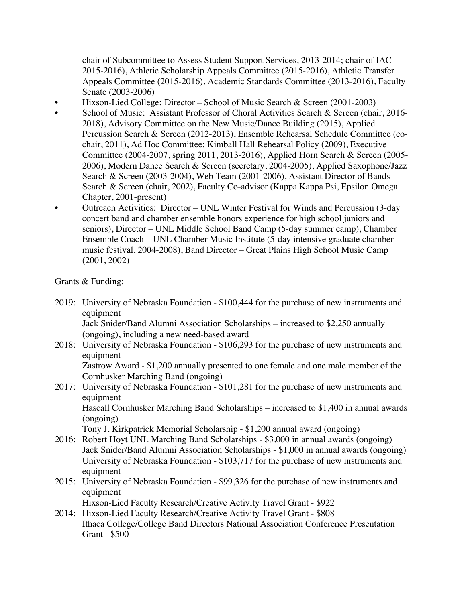chair of Subcommittee to Assess Student Support Services, 2013-2014; chair of IAC 2015-2016), Athletic Scholarship Appeals Committee (2015-2016), Athletic Transfer Appeals Committee (2015-2016), Academic Standards Committee (2013-2016), Faculty Senate (2003-2006)

- Hixson-Lied College: Director School of Music Search & Screen (2001-2003)
- School of Music: Assistant Professor of Choral Activities Search & Screen (chair, 2016- 2018), Advisory Committee on the New Music/Dance Building (2015), Applied Percussion Search & Screen (2012-2013), Ensemble Rehearsal Schedule Committee (cochair, 2011), Ad Hoc Committee: Kimball Hall Rehearsal Policy (2009), Executive Committee (2004-2007, spring 2011, 2013-2016), Applied Horn Search & Screen (2005- 2006), Modern Dance Search & Screen (secretary, 2004-2005), Applied Saxophone/Jazz Search & Screen (2003-2004), Web Team (2001-2006), Assistant Director of Bands Search & Screen (chair, 2002), Faculty Co-advisor (Kappa Kappa Psi, Epsilon Omega Chapter, 2001-present)
- Outreach Activities: Director UNL Winter Festival for Winds and Percussion (3-day concert band and chamber ensemble honors experience for high school juniors and seniors), Director – UNL Middle School Band Camp (5-day summer camp), Chamber Ensemble Coach – UNL Chamber Music Institute (5-day intensive graduate chamber music festival, 2004-2008), Band Director – Great Plains High School Music Camp (2001, 2002)

Grants & Funding:

2019: University of Nebraska Foundation - \$100,444 for the purchase of new instruments and equipment

Jack Snider/Band Alumni Association Scholarships – increased to \$2,250 annually (ongoing), including a new need-based award

2018: University of Nebraska Foundation - \$106,293 for the purchase of new instruments and equipment

Zastrow Award - \$1,200 annually presented to one female and one male member of the Cornhusker Marching Band (ongoing)

2017: University of Nebraska Foundation - \$101,281 for the purchase of new instruments and equipment Hascall Cornhusker Marching Band Scholarships – increased to \$1,400 in annual awards

(ongoing)

Tony J. Kirkpatrick Memorial Scholarship - \$1,200 annual award (ongoing)

- 2016: Robert Hoyt UNL Marching Band Scholarships \$3,000 in annual awards (ongoing) Jack Snider/Band Alumni Association Scholarships - \$1,000 in annual awards (ongoing) University of Nebraska Foundation - \$103,717 for the purchase of new instruments and equipment
- 2015: University of Nebraska Foundation \$99,326 for the purchase of new instruments and equipment

Hixson-Lied Faculty Research/Creative Activity Travel Grant - \$922

2014: Hixson-Lied Faculty Research/Creative Activity Travel Grant - \$808 Ithaca College/College Band Directors National Association Conference Presentation Grant - \$500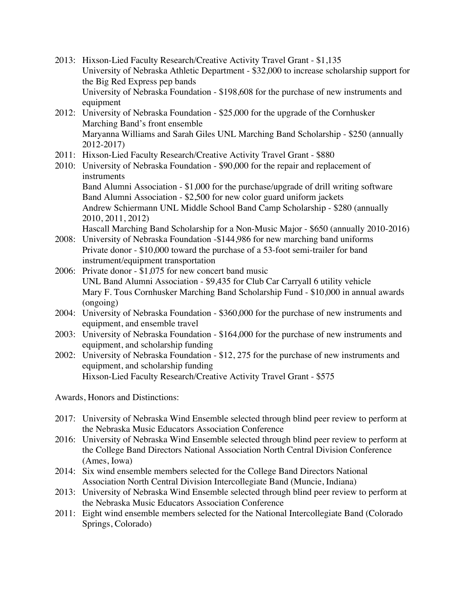- 2013: Hixson-Lied Faculty Research/Creative Activity Travel Grant \$1,135 University of Nebraska Athletic Department - \$32,000 to increase scholarship support for the Big Red Express pep bands University of Nebraska Foundation - \$198,608 for the purchase of new instruments and equipment
- 2012: University of Nebraska Foundation \$25,000 for the upgrade of the Cornhusker Marching Band's front ensemble Maryanna Williams and Sarah Giles UNL Marching Band Scholarship - \$250 (annually 2012-2017)
- 2011: Hixson-Lied Faculty Research/Creative Activity Travel Grant \$880
- 2010: University of Nebraska Foundation \$90,000 for the repair and replacement of instruments

Band Alumni Association - \$1,000 for the purchase/upgrade of drill writing software Band Alumni Association - \$2,500 for new color guard uniform jackets Andrew Schiermann UNL Middle School Band Camp Scholarship - \$280 (annually 2010, 2011, 2012)

Hascall Marching Band Scholarship for a Non-Music Major - \$650 (annually 2010-2016)

- 2008: University of Nebraska Foundation -\$144,986 for new marching band uniforms Private donor - \$10,000 toward the purchase of a 53-foot semi-trailer for band instrument/equipment transportation
- 2006: Private donor \$1,075 for new concert band music UNL Band Alumni Association - \$9,435 for Club Car Carryall 6 utility vehicle Mary F. Tous Cornhusker Marching Band Scholarship Fund - \$10,000 in annual awards (ongoing)
- 2004: University of Nebraska Foundation \$360,000 for the purchase of new instruments and equipment, and ensemble travel
- 2003: University of Nebraska Foundation \$164,000 for the purchase of new instruments and equipment, and scholarship funding
- 2002: University of Nebraska Foundation \$12, 275 for the purchase of new instruments and equipment, and scholarship funding Hixson-Lied Faculty Research/Creative Activity Travel Grant - \$575

Awards, Honors and Distinctions:

- 2017: University of Nebraska Wind Ensemble selected through blind peer review to perform at the Nebraska Music Educators Association Conference
- 2016: University of Nebraska Wind Ensemble selected through blind peer review to perform at the College Band Directors National Association North Central Division Conference (Ames, Iowa)
- 2014: Six wind ensemble members selected for the College Band Directors National Association North Central Division Intercollegiate Band (Muncie, Indiana)
- 2013: University of Nebraska Wind Ensemble selected through blind peer review to perform at the Nebraska Music Educators Association Conference
- 2011: Eight wind ensemble members selected for the National Intercollegiate Band (Colorado Springs, Colorado)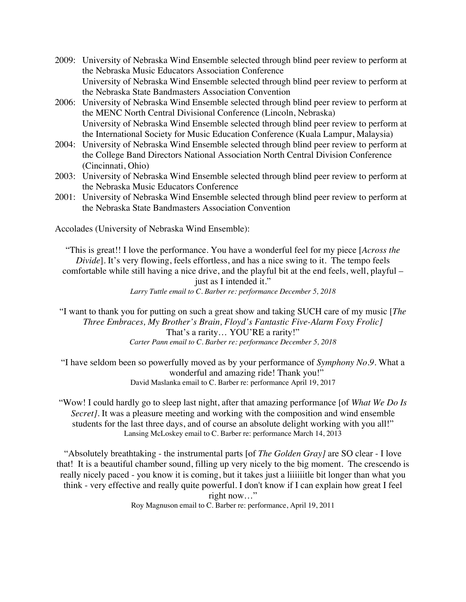- 2009: University of Nebraska Wind Ensemble selected through blind peer review to perform at the Nebraska Music Educators Association Conference University of Nebraska Wind Ensemble selected through blind peer review to perform at the Nebraska State Bandmasters Association Convention
- 2006: University of Nebraska Wind Ensemble selected through blind peer review to perform at the MENC North Central Divisional Conference (Lincoln, Nebraska) University of Nebraska Wind Ensemble selected through blind peer review to perform at the International Society for Music Education Conference (Kuala Lampur, Malaysia)
- 2004: University of Nebraska Wind Ensemble selected through blind peer review to perform at the College Band Directors National Association North Central Division Conference (Cincinnati, Ohio)
- 2003: University of Nebraska Wind Ensemble selected through blind peer review to perform at the Nebraska Music Educators Conference
- 2001: University of Nebraska Wind Ensemble selected through blind peer review to perform at the Nebraska State Bandmasters Association Convention

Accolades (University of Nebraska Wind Ensemble):

"This is great!! I love the performance. You have a wonderful feel for my piece [*Across the Divide*]. It's very flowing, feels effortless, and has a nice swing to it. The tempo feels comfortable while still having a nice drive, and the playful bit at the end feels, well, playful – just as I intended it." *Larry Tuttle email to C. Barber re: performance December 5, 2018*

"I want to thank you for putting on such a great show and taking SUCH care of my music [*The Three Embraces, My Brother's Brain, Floyd's Fantastic Five-Alarm Foxy Frolic]* That's a rarity… YOU'RE a rarity!" *Carter Pann email to C. Barber re: performance December 5, 2018*

"I have seldom been so powerfully moved as by your performance of *Symphony No.9*. What a wonderful and amazing ride! Thank you!" David Maslanka email to C. Barber re: performance April 19, 2017

"Wow! I could hardly go to sleep last night, after that amazing performance [of *What We Do Is Secret]*. It was a pleasure meeting and working with the composition and wind ensemble students for the last three days, and of course an absolute delight working with you all!" Lansing McLoskey email to C. Barber re: performance March 14, 2013

"Absolutely breathtaking - the instrumental parts [of *The Golden Gray]* are SO clear - I love that! It is a beautiful chamber sound, filling up very nicely to the big moment. The crescendo is really nicely paced - you know it is coming, but it takes just a liiiiiitle bit longer than what you think - very effective and really quite powerful. I don't know if I can explain how great I feel right now…" Roy Magnuson email to C. Barber re: performance, April 19, 2011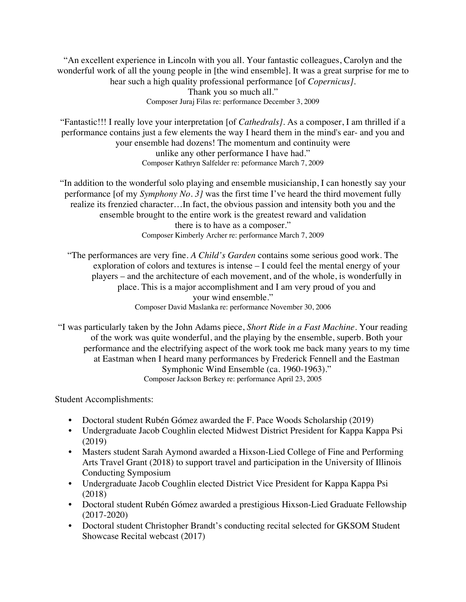"An excellent experience in Lincoln with you all. Your fantastic colleagues, Carolyn and the wonderful work of all the young people in [the wind ensemble]. It was a great surprise for me to hear such a high quality professional performance [of *Copernicus].* Thank you so much all." Composer Juraj Filas re: performance December 3, 2009

"Fantastic!!! I really love your interpretation [of *Cathedrals].* As a composer, I am thrilled if a performance contains just a few elements the way I heard them in the mind's ear- and you and your ensemble had dozens! The momentum and continuity were unlike any other performance I have had." Composer Kathryn Salfelder re: peformance March 7, 2009

"In addition to the wonderful solo playing and ensemble musicianship, I can honestly say your performance [of my *Symphony No. 3]* was the first time I've heard the third movement fully realize its frenzied character…In fact, the obvious passion and intensity both you and the ensemble brought to the entire work is the greatest reward and validation there is to have as a composer." Composer Kimberly Archer re: performance March 7, 2009

"The performances are very fine. *A Child's Garden* contains some serious good work. The exploration of colors and textures is intense – I could feel the mental energy of your players – and the architecture of each movement, and of the whole, is wonderfully in place. This is a major accomplishment and I am very proud of you and your wind ensemble." Composer David Maslanka re: performance November 30, 2006

"I was particularly taken by the John Adams piece, *Short Ride in a Fast Machine.* Your reading of the work was quite wonderful, and the playing by the ensemble, superb. Both your performance and the electrifying aspect of the work took me back many years to my time at Eastman when I heard many performances by Frederick Fennell and the Eastman Symphonic Wind Ensemble (ca. 1960-1963)." Composer Jackson Berkey re: performance April 23, 2005

Student Accomplishments:

- Doctoral student Rubén Gómez awarded the F. Pace Woods Scholarship (2019)
- Undergraduate Jacob Coughlin elected Midwest District President for Kappa Kappa Psi (2019)
- Masters student Sarah Aymond awarded a Hixson-Lied College of Fine and Performing Arts Travel Grant (2018) to support travel and participation in the University of Illinois Conducting Symposium
- Undergraduate Jacob Coughlin elected District Vice President for Kappa Kappa Psi (2018)
- Doctoral student Rubén Gómez awarded a prestigious Hixson-Lied Graduate Fellowship (2017-2020)
- Doctoral student Christopher Brandt's conducting recital selected for GKSOM Student Showcase Recital webcast (2017)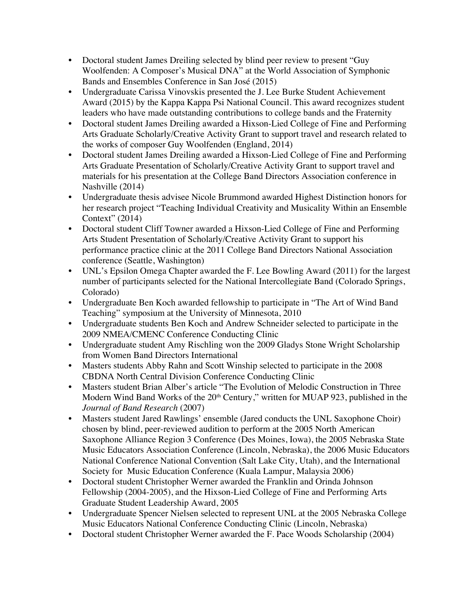- Doctoral student James Dreiling selected by blind peer review to present "Guy Woolfenden: A Composer's Musical DNA" at the World Association of Symphonic Bands and Ensembles Conference in San José (2015)
- Undergraduate Carissa Vinovskis presented the J. Lee Burke Student Achievement Award (2015) by the Kappa Kappa Psi National Council. This award recognizes student leaders who have made outstanding contributions to college bands and the Fraternity
- Doctoral student James Dreiling awarded a Hixson-Lied College of Fine and Performing Arts Graduate Scholarly/Creative Activity Grant to support travel and research related to the works of composer Guy Woolfenden (England, 2014)
- Doctoral student James Dreiling awarded a Hixson-Lied College of Fine and Performing Arts Graduate Presentation of Scholarly/Creative Activity Grant to support travel and materials for his presentation at the College Band Directors Association conference in Nashville (2014)
- Undergraduate thesis advisee Nicole Brummond awarded Highest Distinction honors for her research project "Teaching Individual Creativity and Musicality Within an Ensemble Context" (2014)
- Doctoral student Cliff Towner awarded a Hixson-Lied College of Fine and Performing Arts Student Presentation of Scholarly/Creative Activity Grant to support his performance practice clinic at the 2011 College Band Directors National Association conference (Seattle, Washington)
- UNL's Epsilon Omega Chapter awarded the F. Lee Bowling Award (2011) for the largest number of participants selected for the National Intercollegiate Band (Colorado Springs, Colorado)
- Undergraduate Ben Koch awarded fellowship to participate in "The Art of Wind Band Teaching" symposium at the University of Minnesota, 2010
- Undergraduate students Ben Koch and Andrew Schneider selected to participate in the 2009 NMEA/CMENC Conference Conducting Clinic
- Undergraduate student Amy Rischling won the 2009 Gladys Stone Wright Scholarship from Women Band Directors International
- Masters students Abby Rahn and Scott Winship selected to participate in the 2008 CBDNA North Central Division Conference Conducting Clinic
- Masters student Brian Alber's article "The Evolution of Melodic Construction in Three Modern Wind Band Works of the 20<sup>th</sup> Century," written for MUAP 923, published in the *Journal of Band Research* (2007)
- Masters student Jared Rawlings' ensemble (Jared conducts the UNL Saxophone Choir) chosen by blind, peer-reviewed audition to perform at the 2005 North American Saxophone Alliance Region 3 Conference (Des Moines, Iowa), the 2005 Nebraska State Music Educators Association Conference (Lincoln, Nebraska), the 2006 Music Educators National Conference National Convention (Salt Lake City, Utah), and the International Society for Music Education Conference (Kuala Lampur, Malaysia 2006)
- Doctoral student Christopher Werner awarded the Franklin and Orinda Johnson Fellowship (2004-2005), and the Hixson-Lied College of Fine and Performing Arts Graduate Student Leadership Award, 2005
- Undergraduate Spencer Nielsen selected to represent UNL at the 2005 Nebraska College Music Educators National Conference Conducting Clinic (Lincoln, Nebraska)
- Doctoral student Christopher Werner awarded the F. Pace Woods Scholarship (2004)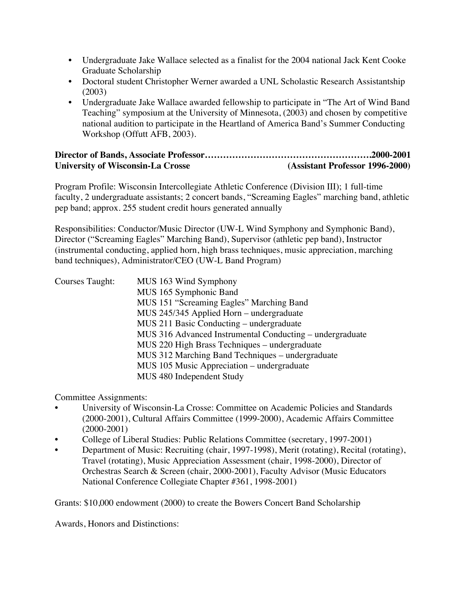- Undergraduate Jake Wallace selected as a finalist for the 2004 national Jack Kent Cooke Graduate Scholarship
- Doctoral student Christopher Werner awarded a UNL Scholastic Research Assistantship (2003)
- Undergraduate Jake Wallace awarded fellowship to participate in "The Art of Wind Band Teaching" symposium at the University of Minnesota, (2003) and chosen by competitive national audition to participate in the Heartland of America Band's Summer Conducting Workshop (Offutt AFB, 2003).

## **Director of Bands, Associate Professor……………………………………………….2000-2001 University of Wisconsin-La Crosse (Assistant Professor 1996-2000)**

Program Profile: Wisconsin Intercollegiate Athletic Conference (Division III); 1 full-time faculty, 2 undergraduate assistants; 2 concert bands, "Screaming Eagles" marching band, athletic pep band; approx. 255 student credit hours generated annually

Responsibilities: Conductor/Music Director (UW-L Wind Symphony and Symphonic Band), Director ("Screaming Eagles" Marching Band), Supervisor (athletic pep band), Instructor (instrumental conducting, applied horn, high brass techniques, music appreciation, marching band techniques), Administrator/CEO (UW-L Band Program)

| Courses Taught: | MUS 163 Wind Symphony                                    |
|-----------------|----------------------------------------------------------|
|                 | MUS 165 Symphonic Band                                   |
|                 | MUS 151 "Screaming Eagles" Marching Band                 |
|                 | MUS 245/345 Applied Horn – undergraduate                 |
|                 | MUS 211 Basic Conducting – undergraduate                 |
|                 | MUS 316 Advanced Instrumental Conducting – undergraduate |
|                 | MUS 220 High Brass Techniques - undergraduate            |
|                 | MUS 312 Marching Band Techniques – undergraduate         |
|                 | MUS 105 Music Appreciation – undergraduate               |
|                 | MUS 480 Independent Study                                |

Committee Assignments:

- University of Wisconsin-La Crosse: Committee on Academic Policies and Standards (2000-2001), Cultural Affairs Committee (1999-2000), Academic Affairs Committee (2000-2001)
- College of Liberal Studies: Public Relations Committee (secretary, 1997-2001)
- Department of Music: Recruiting (chair, 1997-1998), Merit (rotating), Recital (rotating), Travel (rotating), Music Appreciation Assessment (chair, 1998-2000), Director of Orchestras Search & Screen (chair, 2000-2001), Faculty Advisor (Music Educators National Conference Collegiate Chapter #361, 1998-2001)

Grants: \$10,000 endowment (2000) to create the Bowers Concert Band Scholarship

Awards, Honors and Distinctions: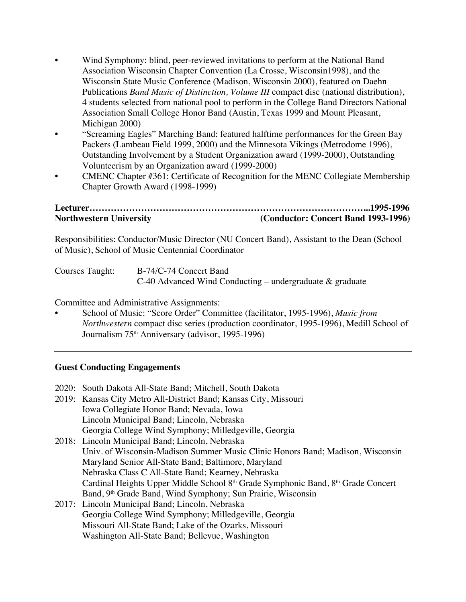- Wind Symphony: blind, peer-reviewed invitations to perform at the National Band Association Wisconsin Chapter Convention (La Crosse, Wisconsin1998), and the Wisconsin State Music Conference (Madison, Wisconsin 2000), featured on Daehn Publications *Band Music of Distinction, Volume III* compact disc (national distribution), 4 students selected from national pool to perform in the College Band Directors National Association Small College Honor Band (Austin, Texas 1999 and Mount Pleasant, Michigan 2000)
- "Screaming Eagles" Marching Band: featured halftime performances for the Green Bay Packers (Lambeau Field 1999, 2000) and the Minnesota Vikings (Metrodome 1996), Outstanding Involvement by a Student Organization award (1999-2000), Outstanding Volunteerism by an Organization award (1999-2000)
- CMENC Chapter #361: Certificate of Recognition for the MENC Collegiate Membership Chapter Growth Award (1998-1999)

# **Lecturer………………………………………………………………………………...1995-1996 Northwestern University (Conductor: Concert Band 1993-1996)**

Responsibilities: Conductor/Music Director (NU Concert Band), Assistant to the Dean (School of Music), School of Music Centennial Coordinator

| Courses Taught: | B-74/C-74 Concert Band                                      |
|-----------------|-------------------------------------------------------------|
|                 | C-40 Advanced Wind Conducting – undergraduate $\&$ graduate |

Committee and Administrative Assignments:

• School of Music: "Score Order" Committee (facilitator, 1995-1996), *Music from Northwestern* compact disc series (production coordinator, 1995-1996), Medill School of Journalism 75th Anniversary (advisor, 1995-1996)

## **Guest Conducting Engagements**

- 2020: South Dakota All-State Band; Mitchell, South Dakota
- 2019: Kansas City Metro All-District Band; Kansas City, Missouri Iowa Collegiate Honor Band; Nevada, Iowa Lincoln Municipal Band; Lincoln, Nebraska Georgia College Wind Symphony; Milledgeville, Georgia
- 2018: Lincoln Municipal Band; Lincoln, Nebraska Univ. of Wisconsin-Madison Summer Music Clinic Honors Band; Madison, Wisconsin Maryland Senior All-State Band; Baltimore, Maryland Nebraska Class C All-State Band; Kearney, Nebraska Cardinal Heights Upper Middle School 8th Grade Symphonic Band, 8th Grade Concert Band, 9<sup>th</sup> Grade Band, Wind Symphony; Sun Prairie, Wisconsin
- 2017: Lincoln Municipal Band; Lincoln, Nebraska Georgia College Wind Symphony; Milledgeville, Georgia Missouri All-State Band; Lake of the Ozarks, Missouri Washington All-State Band; Bellevue, Washington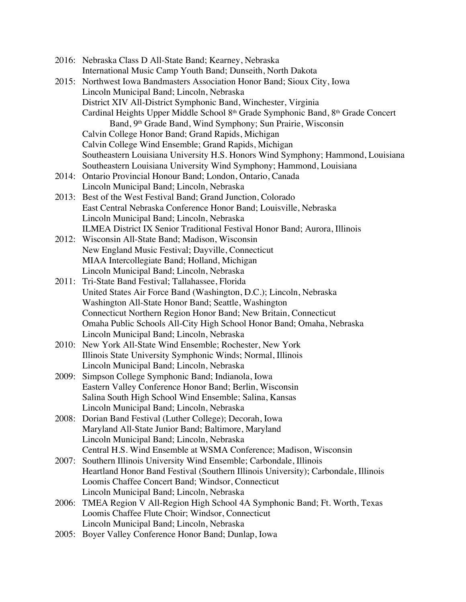|       | 2016: Nebraska Class D All-State Band; Kearney, Nebraska                                                         |
|-------|------------------------------------------------------------------------------------------------------------------|
| 2015: | International Music Camp Youth Band; Dunseith, North Dakota                                                      |
|       | Northwest Iowa Bandmasters Association Honor Band; Sioux City, Iowa<br>Lincoln Municipal Band; Lincoln, Nebraska |
|       | District XIV All-District Symphonic Band, Winchester, Virginia                                                   |
|       | Cardinal Heights Upper Middle School 8 <sup>th</sup> Grade Symphonic Band, 8 <sup>th</sup> Grade Concert         |
|       | Band, 9 <sup>th</sup> Grade Band, Wind Symphony; Sun Prairie, Wisconsin                                          |
|       | Calvin College Honor Band; Grand Rapids, Michigan                                                                |
|       | Calvin College Wind Ensemble; Grand Rapids, Michigan                                                             |
|       | Southeastern Louisiana University H.S. Honors Wind Symphony; Hammond, Louisiana                                  |
|       | Southeastern Louisiana University Wind Symphony; Hammond, Louisiana                                              |
| 2014: | Ontario Provincial Honour Band; London, Ontario, Canada                                                          |
|       | Lincoln Municipal Band; Lincoln, Nebraska                                                                        |
| 2013: | Best of the West Festival Band; Grand Junction, Colorado                                                         |
|       | East Central Nebraska Conference Honor Band; Louisville, Nebraska                                                |
|       | Lincoln Municipal Band; Lincoln, Nebraska                                                                        |
|       | ILMEA District IX Senior Traditional Festival Honor Band; Aurora, Illinois                                       |
| 2012: | Wisconsin All-State Band; Madison, Wisconsin                                                                     |
|       | New England Music Festival; Dayville, Connecticut                                                                |
|       | MIAA Intercollegiate Band; Holland, Michigan                                                                     |
|       | Lincoln Municipal Band; Lincoln, Nebraska                                                                        |
| 2011: | Tri-State Band Festival; Tallahassee, Florida                                                                    |
|       | United States Air Force Band (Washington, D.C.); Lincoln, Nebraska                                               |
|       | Washington All-State Honor Band; Seattle, Washington                                                             |
|       | Connecticut Northern Region Honor Band; New Britain, Connecticut                                                 |
|       | Omaha Public Schools All-City High School Honor Band; Omaha, Nebraska                                            |
|       | Lincoln Municipal Band; Lincoln, Nebraska                                                                        |
| 2010: | New York All-State Wind Ensemble; Rochester, New York                                                            |
|       | Illinois State University Symphonic Winds; Normal, Illinois                                                      |
|       | Lincoln Municipal Band; Lincoln, Nebraska                                                                        |
| 2009: | Simpson College Symphonic Band; Indianola, Iowa                                                                  |
|       | Eastern Valley Conference Honor Band; Berlin, Wisconsin                                                          |
|       | Salina South High School Wind Ensemble; Salina, Kansas                                                           |
|       | Lincoln Municipal Band; Lincoln, Nebraska                                                                        |
| 2008: | Dorian Band Festival (Luther College); Decorah, Iowa                                                             |
|       | Maryland All-State Junior Band; Baltimore, Maryland                                                              |
|       | Lincoln Municipal Band; Lincoln, Nebraska                                                                        |
|       | Central H.S. Wind Ensemble at WSMA Conference; Madison, Wisconsin                                                |
| 2007: | Southern Illinois University Wind Ensemble; Carbondale, Illinois                                                 |
|       | Heartland Honor Band Festival (Southern Illinois University); Carbondale, Illinois                               |
|       | Loomis Chaffee Concert Band; Windsor, Connecticut                                                                |
|       | Lincoln Municipal Band; Lincoln, Nebraska                                                                        |
| 2006: | TMEA Region V All-Region High School 4A Symphonic Band; Ft. Worth, Texas                                         |
|       | Loomis Chaffee Flute Choir; Windsor, Connecticut                                                                 |
|       | Lincoln Municipal Band; Lincoln, Nebraska                                                                        |

2005: Boyer Valley Conference Honor Band; Dunlap, Iowa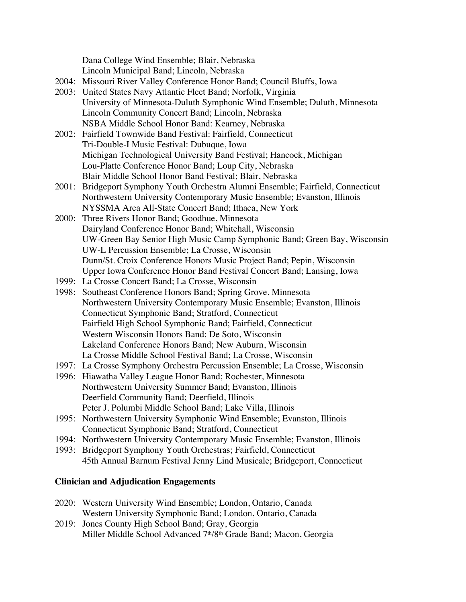Dana College Wind Ensemble; Blair, Nebraska Lincoln Municipal Band; Lincoln, Nebraska

- 2004: Missouri River Valley Conference Honor Band; Council Bluffs, Iowa
- 2003: United States Navy Atlantic Fleet Band; Norfolk, Virginia University of Minnesota-Duluth Symphonic Wind Ensemble; Duluth, Minnesota Lincoln Community Concert Band; Lincoln, Nebraska NSBA Middle School Honor Band: Kearney, Nebraska
- 2002: Fairfield Townwide Band Festival: Fairfield, Connecticut Tri-Double-I Music Festival: Dubuque, Iowa Michigan Technological University Band Festival; Hancock, Michigan Lou-Platte Conference Honor Band; Loup City, Nebraska Blair Middle School Honor Band Festival; Blair, Nebraska
- 2001: Bridgeport Symphony Youth Orchestra Alumni Ensemble; Fairfield, Connecticut Northwestern University Contemporary Music Ensemble; Evanston, Illinois NYSSMA Area All-State Concert Band; Ithaca, New York
- 2000: Three Rivers Honor Band; Goodhue, Minnesota Dairyland Conference Honor Band; Whitehall, Wisconsin UW-Green Bay Senior High Music Camp Symphonic Band; Green Bay, Wisconsin UW-L Percussion Ensemble; La Crosse, Wisconsin Dunn/St. Croix Conference Honors Music Project Band; Pepin, Wisconsin Upper Iowa Conference Honor Band Festival Concert Band; Lansing, Iowa
- 1999: La Crosse Concert Band; La Crosse, Wisconsin
- 1998: Southeast Conference Honors Band; Spring Grove, Minnesota Northwestern University Contemporary Music Ensemble; Evanston, Illinois Connecticut Symphonic Band; Stratford, Connecticut Fairfield High School Symphonic Band; Fairfield, Connecticut Western Wisconsin Honors Band; De Soto, Wisconsin Lakeland Conference Honors Band; New Auburn, Wisconsin La Crosse Middle School Festival Band; La Crosse, Wisconsin
- 1997: La Crosse Symphony Orchestra Percussion Ensemble; La Crosse, Wisconsin
- 1996: Hiawatha Valley League Honor Band; Rochester, Minnesota Northwestern University Summer Band; Evanston, Illinois Deerfield Community Band; Deerfield, Illinois Peter J. Polumbi Middle School Band; Lake Villa, Illinois
- 1995: Northwestern University Symphonic Wind Ensemble; Evanston, Illinois Connecticut Symphonic Band; Stratford, Connecticut
- 1994: Northwestern University Contemporary Music Ensemble; Evanston, Illinois
- 1993: Bridgeport Symphony Youth Orchestras; Fairfield, Connecticut 45th Annual Barnum Festival Jenny Lind Musicale; Bridgeport, Connecticut

## **Clinician and Adjudication Engagements**

- 2020: Western University Wind Ensemble; London, Ontario, Canada Western University Symphonic Band; London, Ontario, Canada
- 2019: Jones County High School Band; Gray, Georgia Miller Middle School Advanced 7<sup>th</sup>/8<sup>th</sup> Grade Band; Macon, Georgia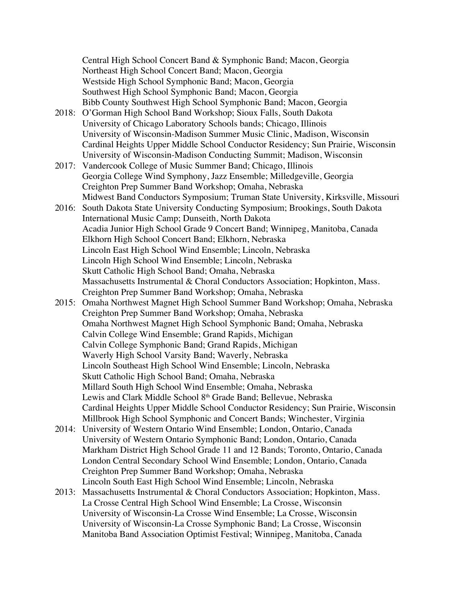Central High School Concert Band & Symphonic Band; Macon, Georgia Northeast High School Concert Band; Macon, Georgia Westside High School Symphonic Band; Macon, Georgia Southwest High School Symphonic Band; Macon, Georgia Bibb County Southwest High School Symphonic Band; Macon, Georgia

- 2018: O'Gorman High School Band Workshop; Sioux Falls, South Dakota University of Chicago Laboratory Schools bands; Chicago, Illinois University of Wisconsin-Madison Summer Music Clinic, Madison, Wisconsin Cardinal Heights Upper Middle School Conductor Residency; Sun Prairie, Wisconsin University of Wisconsin-Madison Conducting Summit; Madison, Wisconsin
- 2017: Vandercook College of Music Summer Band; Chicago, Illinois Georgia College Wind Symphony, Jazz Ensemble; Milledgeville, Georgia Creighton Prep Summer Band Workshop; Omaha, Nebraska Midwest Band Conductors Symposium; Truman State University, Kirksville, Missouri
- 2016: South Dakota State University Conducting Symposium; Brookings, South Dakota International Music Camp; Dunseith, North Dakota Acadia Junior High School Grade 9 Concert Band; Winnipeg, Manitoba, Canada Elkhorn High School Concert Band; Elkhorn, Nebraska Lincoln East High School Wind Ensemble; Lincoln, Nebraska Lincoln High School Wind Ensemble; Lincoln, Nebraska Skutt Catholic High School Band; Omaha, Nebraska Massachusetts Instrumental & Choral Conductors Association; Hopkinton, Mass. Creighton Prep Summer Band Workshop; Omaha, Nebraska
- 2015: Omaha Northwest Magnet High School Summer Band Workshop; Omaha, Nebraska Creighton Prep Summer Band Workshop; Omaha, Nebraska Omaha Northwest Magnet High School Symphonic Band; Omaha, Nebraska Calvin College Wind Ensemble; Grand Rapids, Michigan Calvin College Symphonic Band; Grand Rapids, Michigan Waverly High School Varsity Band; Waverly, Nebraska Lincoln Southeast High School Wind Ensemble; Lincoln, Nebraska Skutt Catholic High School Band; Omaha, Nebraska Millard South High School Wind Ensemble; Omaha, Nebraska Lewis and Clark Middle School 8<sup>th</sup> Grade Band; Bellevue, Nebraska Cardinal Heights Upper Middle School Conductor Residency; Sun Prairie, Wisconsin Millbrook High School Symphonic and Concert Bands; Winchester, Virginia
- 2014: University of Western Ontario Wind Ensemble; London, Ontario, Canada University of Western Ontario Symphonic Band; London, Ontario, Canada Markham District High School Grade 11 and 12 Bands; Toronto, Ontario, Canada London Central Secondary School Wind Ensemble; London, Ontario, Canada Creighton Prep Summer Band Workshop; Omaha, Nebraska Lincoln South East High School Wind Ensemble; Lincoln, Nebraska
- 2013: Massachusetts Instrumental & Choral Conductors Association; Hopkinton, Mass. La Crosse Central High School Wind Ensemble; La Crosse, Wisconsin University of Wisconsin-La Crosse Wind Ensemble; La Crosse, Wisconsin University of Wisconsin-La Crosse Symphonic Band; La Crosse, Wisconsin Manitoba Band Association Optimist Festival; Winnipeg, Manitoba, Canada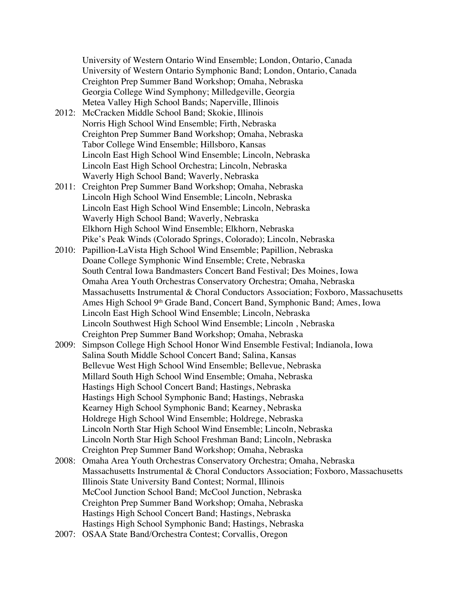University of Western Ontario Wind Ensemble; London, Ontario, Canada University of Western Ontario Symphonic Band; London, Ontario, Canada Creighton Prep Summer Band Workshop; Omaha, Nebraska Georgia College Wind Symphony; Milledgeville, Georgia Metea Valley High School Bands; Naperville, Illinois

- 2012: McCracken Middle School Band; Skokie, Illinois Norris High School Wind Ensemble; Firth, Nebraska Creighton Prep Summer Band Workshop; Omaha, Nebraska Tabor College Wind Ensemble; Hillsboro, Kansas Lincoln East High School Wind Ensemble; Lincoln, Nebraska Lincoln East High School Orchestra; Lincoln, Nebraska Waverly High School Band; Waverly, Nebraska
- 2011: Creighton Prep Summer Band Workshop; Omaha, Nebraska Lincoln High School Wind Ensemble; Lincoln, Nebraska Lincoln East High School Wind Ensemble; Lincoln, Nebraska Waverly High School Band; Waverly, Nebraska Elkhorn High School Wind Ensemble; Elkhorn, Nebraska Pike's Peak Winds (Colorado Springs, Colorado); Lincoln, Nebraska
- 2010: Papillion-LaVista High School Wind Ensemble; Papillion, Nebraska Doane College Symphonic Wind Ensemble; Crete, Nebraska South Central Iowa Bandmasters Concert Band Festival; Des Moines, Iowa Omaha Area Youth Orchestras Conservatory Orchestra; Omaha, Nebraska Massachusetts Instrumental & Choral Conductors Association; Foxboro, Massachusetts Ames High School 9<sup>th</sup> Grade Band, Concert Band, Symphonic Band; Ames, Iowa Lincoln East High School Wind Ensemble; Lincoln, Nebraska Lincoln Southwest High School Wind Ensemble; Lincoln , Nebraska Creighton Prep Summer Band Workshop; Omaha, Nebraska
- 2009: Simpson College High School Honor Wind Ensemble Festival; Indianola, Iowa Salina South Middle School Concert Band; Salina, Kansas Bellevue West High School Wind Ensemble; Bellevue, Nebraska Millard South High School Wind Ensemble; Omaha, Nebraska Hastings High School Concert Band; Hastings, Nebraska Hastings High School Symphonic Band; Hastings, Nebraska Kearney High School Symphonic Band; Kearney, Nebraska Holdrege High School Wind Ensemble; Holdrege, Nebraska Lincoln North Star High School Wind Ensemble; Lincoln, Nebraska Lincoln North Star High School Freshman Band; Lincoln, Nebraska Creighton Prep Summer Band Workshop; Omaha, Nebraska
- 2008: Omaha Area Youth Orchestras Conservatory Orchestra; Omaha, Nebraska Massachusetts Instrumental & Choral Conductors Association; Foxboro, Massachusetts Illinois State University Band Contest; Normal, Illinois McCool Junction School Band; McCool Junction, Nebraska Creighton Prep Summer Band Workshop; Omaha, Nebraska Hastings High School Concert Band; Hastings, Nebraska Hastings High School Symphonic Band; Hastings, Nebraska
- 2007: OSAA State Band/Orchestra Contest; Corvallis, Oregon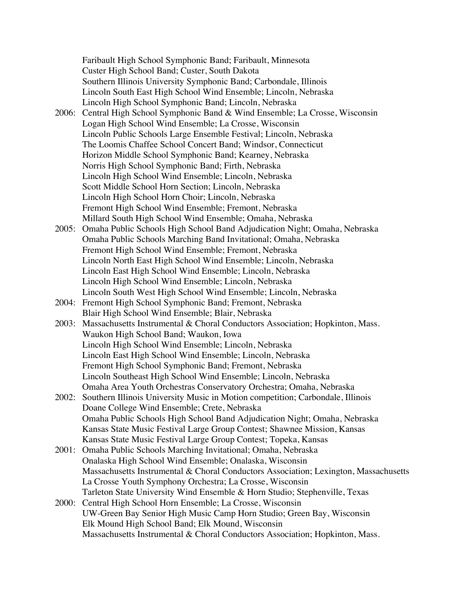Faribault High School Symphonic Band; Faribault, Minnesota Custer High School Band; Custer, South Dakota Southern Illinois University Symphonic Band; Carbondale, Illinois Lincoln South East High School Wind Ensemble; Lincoln, Nebraska Lincoln High School Symphonic Band; Lincoln, Nebraska 2006: Central High School Symphonic Band & Wind Ensemble; La Crosse, Wisconsin Logan High School Wind Ensemble; La Crosse, Wisconsin Lincoln Public Schools Large Ensemble Festival; Lincoln, Nebraska The Loomis Chaffee School Concert Band; Windsor, Connecticut Horizon Middle School Symphonic Band; Kearney, Nebraska Norris High School Symphonic Band; Firth, Nebraska Lincoln High School Wind Ensemble; Lincoln, Nebraska Scott Middle School Horn Section; Lincoln, Nebraska Lincoln High School Horn Choir; Lincoln, Nebraska Fremont High School Wind Ensemble; Fremont, Nebraska Millard South High School Wind Ensemble; Omaha, Nebraska 2005: Omaha Public Schools High School Band Adjudication Night; Omaha, Nebraska Omaha Public Schools Marching Band Invitational; Omaha, Nebraska Fremont High School Wind Ensemble; Fremont, Nebraska Lincoln North East High School Wind Ensemble; Lincoln, Nebraska Lincoln East High School Wind Ensemble; Lincoln, Nebraska Lincoln High School Wind Ensemble; Lincoln, Nebraska Lincoln South West High School Wind Ensemble; Lincoln, Nebraska 2004: Fremont High School Symphonic Band; Fremont, Nebraska Blair High School Wind Ensemble; Blair, Nebraska 2003: Massachusetts Instrumental & Choral Conductors Association; Hopkinton, Mass. Waukon High School Band; Waukon, Iowa Lincoln High School Wind Ensemble; Lincoln, Nebraska Lincoln East High School Wind Ensemble; Lincoln, Nebraska Fremont High School Symphonic Band; Fremont, Nebraska Lincoln Southeast High School Wind Ensemble; Lincoln, Nebraska Omaha Area Youth Orchestras Conservatory Orchestra; Omaha, Nebraska 2002: Southern Illinois University Music in Motion competition; Carbondale, Illinois Doane College Wind Ensemble; Crete, Nebraska Omaha Public Schools High School Band Adjudication Night; Omaha, Nebraska Kansas State Music Festival Large Group Contest; Shawnee Mission, Kansas Kansas State Music Festival Large Group Contest; Topeka, Kansas 2001: Omaha Public Schools Marching Invitational; Omaha, Nebraska Onalaska High School Wind Ensemble; Onalaska, Wisconsin Massachusetts Instrumental & Choral Conductors Association; Lexington, Massachusetts La Crosse Youth Symphony Orchestra; La Crosse, Wisconsin Tarleton State University Wind Ensemble & Horn Studio; Stephenville, Texas 2000: Central High School Horn Ensemble; La Crosse, Wisconsin UW-Green Bay Senior High Music Camp Horn Studio; Green Bay, Wisconsin Elk Mound High School Band; Elk Mound, Wisconsin

Massachusetts Instrumental & Choral Conductors Association; Hopkinton, Mass.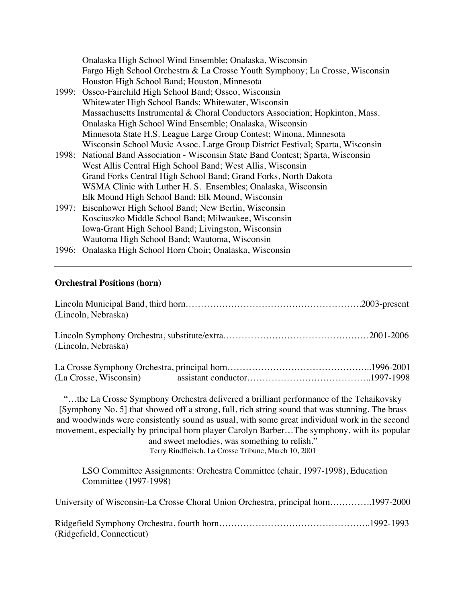| Onalaska High School Wind Ensemble; Onalaska, Wisconsin                           |
|-----------------------------------------------------------------------------------|
| Fargo High School Orchestra & La Crosse Youth Symphony; La Crosse, Wisconsin      |
| Houston High School Band; Houston, Minnesota                                      |
| 1999: Osseo-Fairchild High School Band; Osseo, Wisconsin                          |
| Whitewater High School Bands; Whitewater, Wisconsin                               |
| Massachusetts Instrumental & Choral Conductors Association; Hopkinton, Mass.      |
| Onalaska High School Wind Ensemble; Onalaska, Wisconsin                           |
| Minnesota State H.S. League Large Group Contest; Winona, Minnesota                |
| Wisconsin School Music Assoc. Large Group District Festival; Sparta, Wisconsin    |
| 1998: National Band Association - Wisconsin State Band Contest; Sparta, Wisconsin |
| West Allis Central High School Band; West Allis, Wisconsin                        |
| Grand Forks Central High School Band; Grand Forks, North Dakota                   |
| WSMA Clinic with Luther H. S. Ensembles; Onalaska, Wisconsin                      |
| Elk Mound High School Band; Elk Mound, Wisconsin                                  |
| 1997: Eisenhower High School Band; New Berlin, Wisconsin                          |
| Kosciuszko Middle School Band; Milwaukee, Wisconsin                               |
| Iowa-Grant High School Band; Livingston, Wisconsin                                |
| Wautoma High School Band; Wautoma, Wisconsin                                      |
| 1996: Onalaska High School Horn Choir; Onalaska, Wisconsin                        |

# **Orchestral Positions (horn)**

| (Lincoln, Nebraska) |                                                                                                                                                                                                                                                                                                                                                                                                                                                                                                   |  |
|---------------------|---------------------------------------------------------------------------------------------------------------------------------------------------------------------------------------------------------------------------------------------------------------------------------------------------------------------------------------------------------------------------------------------------------------------------------------------------------------------------------------------------|--|
| (Lincoln, Nebraska) |                                                                                                                                                                                                                                                                                                                                                                                                                                                                                                   |  |
|                     |                                                                                                                                                                                                                                                                                                                                                                                                                                                                                                   |  |
|                     | "the La Crosse Symphony Orchestra delivered a brilliant performance of the Tchaikovsky<br>[Symphony No. 5] that showed off a strong, full, rich string sound that was stunning. The brass<br>and woodwinds were consistently sound as usual, with some great individual work in the second<br>movement, especially by principal horn player Carolyn BarberThe symphony, with its popular<br>and sweet melodies, was something to relish."<br>Terry Rindfleisch, La Crosse Tribune, March 10, 2001 |  |

LSO Committee Assignments: Orchestra Committee (chair, 1997-1998), Education Committee (1997-1998)

| University of Wisconsin-La Crosse Choral Union Orchestra, principal horn1997-2000 |  |
|-----------------------------------------------------------------------------------|--|
| (Ridgefield, Connecticut)                                                         |  |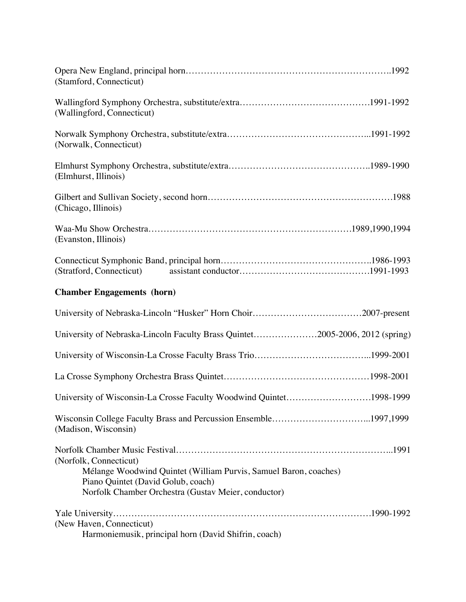| (Stamford, Connecticut)                                                                                                                                                                 |
|-----------------------------------------------------------------------------------------------------------------------------------------------------------------------------------------|
| (Wallingford, Connecticut)                                                                                                                                                              |
| (Norwalk, Connecticut)                                                                                                                                                                  |
| (Elmhurst, Illinois)                                                                                                                                                                    |
| (Chicago, Illinois)                                                                                                                                                                     |
| (Evanston, Illinois)                                                                                                                                                                    |
|                                                                                                                                                                                         |
| <b>Chamber Engagements (horn)</b>                                                                                                                                                       |
|                                                                                                                                                                                         |
| University of Nebraska-Lincoln Faculty Brass Quintet2005-2006, 2012 (spring)                                                                                                            |
|                                                                                                                                                                                         |
|                                                                                                                                                                                         |
| University of Wisconsin-La Crosse Faculty Woodwind Quintet1998-1999                                                                                                                     |
| Wisconsin College Faculty Brass and Percussion Ensemble1997,1999<br>(Madison, Wisconsin)                                                                                                |
| (Norfolk, Connecticut)<br>Mélange Woodwind Quintet (William Purvis, Samuel Baron, coaches)<br>Piano Quintet (David Golub, coach)<br>Norfolk Chamber Orchestra (Gustav Meier, conductor) |
| (New Haven, Connecticut)<br>Harmoniemusik, principal horn (David Shifrin, coach)                                                                                                        |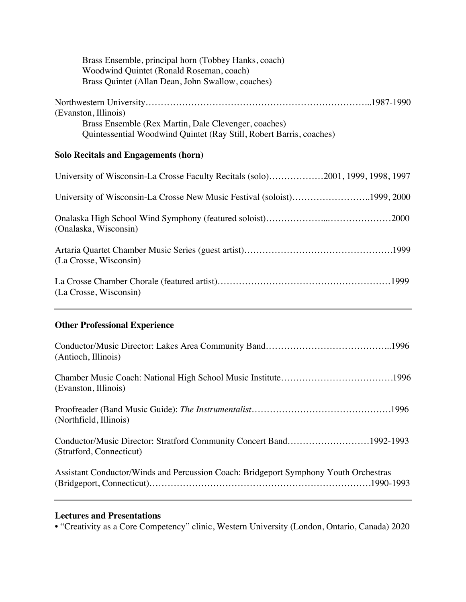| Brass Ensemble, principal horn (Tobbey Hanks, coach)<br>Woodwind Quintet (Ronald Roseman, coach)<br>Brass Quintet (Allan Dean, John Swallow, coaches) |
|-------------------------------------------------------------------------------------------------------------------------------------------------------|
| (Evanston, Illinois)<br>Brass Ensemble (Rex Martin, Dale Clevenger, coaches)<br>Quintessential Woodwind Quintet (Ray Still, Robert Barris, coaches)   |
| <b>Solo Recitals and Engagements (horn)</b>                                                                                                           |
| University of Wisconsin-La Crosse Faculty Recitals (solo)2001, 1999, 1998, 1997                                                                       |
| University of Wisconsin-La Crosse New Music Festival (soloist)1999, 2000                                                                              |
| (Onalaska, Wisconsin)                                                                                                                                 |
| (La Crosse, Wisconsin)                                                                                                                                |
| (La Crosse, Wisconsin)                                                                                                                                |
| <b>Other Professional Experience</b>                                                                                                                  |
| (Antioch, Illinois)                                                                                                                                   |
| (Evanston, Illinois)                                                                                                                                  |
| (Northfield, Illinois)                                                                                                                                |
| Conductor/Music Director: Stratford Community Concert Band1992-1993<br>(Stratford, Connecticut)                                                       |
| Assistant Conductor/Winds and Percussion Coach: Bridgeport Symphony Youth Orchestras                                                                  |

# **Lectures and Presentations**

• "Creativity as a Core Competency" clinic, Western University (London, Ontario, Canada) 2020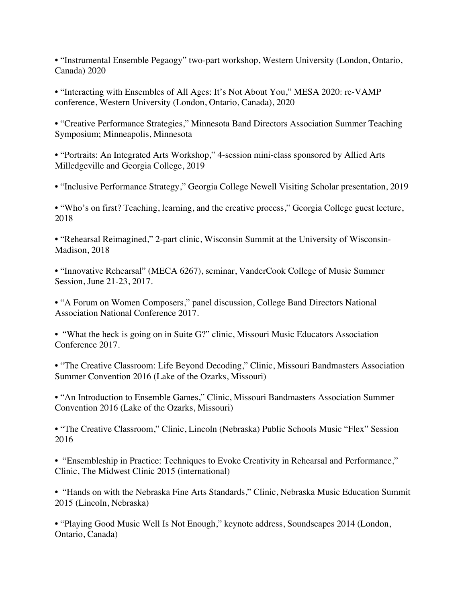• "Instrumental Ensemble Pegaogy" two-part workshop, Western University (London, Ontario, Canada) 2020

• "Interacting with Ensembles of All Ages: It's Not About You," MESA 2020: re-VAMP conference, Western University (London, Ontario, Canada), 2020

• "Creative Performance Strategies," Minnesota Band Directors Association Summer Teaching Symposium; Minneapolis, Minnesota

• "Portraits: An Integrated Arts Workshop," 4-session mini-class sponsored by Allied Arts Milledgeville and Georgia College, 2019

• "Inclusive Performance Strategy," Georgia College Newell Visiting Scholar presentation, 2019

• "Who's on first? Teaching, learning, and the creative process," Georgia College guest lecture, 2018

• "Rehearsal Reimagined," 2-part clinic, Wisconsin Summit at the University of Wisconsin-Madison, 2018

• "Innovative Rehearsal" (MECA 6267), seminar, VanderCook College of Music Summer Session, June 21-23, 2017.

• "A Forum on Women Composers," panel discussion, College Band Directors National Association National Conference 2017.

• "What the heck is going on in Suite G?" clinic, Missouri Music Educators Association Conference 2017.

• "The Creative Classroom: Life Beyond Decoding," Clinic, Missouri Bandmasters Association Summer Convention 2016 (Lake of the Ozarks, Missouri)

• "An Introduction to Ensemble Games," Clinic, Missouri Bandmasters Association Summer Convention 2016 (Lake of the Ozarks, Missouri)

• "The Creative Classroom," Clinic, Lincoln (Nebraska) Public Schools Music "Flex" Session 2016

• "Ensembleship in Practice: Techniques to Evoke Creativity in Rehearsal and Performance," Clinic, The Midwest Clinic 2015 (international)

• "Hands on with the Nebraska Fine Arts Standards," Clinic, Nebraska Music Education Summit 2015 (Lincoln, Nebraska)

• "Playing Good Music Well Is Not Enough," keynote address, Soundscapes 2014 (London, Ontario, Canada)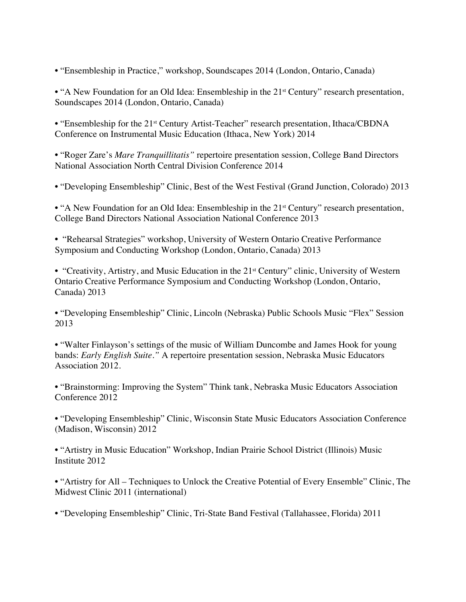• "Ensembleship in Practice," workshop, Soundscapes 2014 (London, Ontario, Canada)

• "A New Foundation for an Old Idea: Ensembleship in the 21<sup>st</sup> Century" research presentation, Soundscapes 2014 (London, Ontario, Canada)

• "Ensembleship for the 21<sup>st</sup> Century Artist-Teacher" research presentation, Ithaca/CBDNA Conference on Instrumental Music Education (Ithaca, New York) 2014

• "Roger Zare's *Mare Tranquillitatis"* repertoire presentation session, College Band Directors National Association North Central Division Conference 2014

• "Developing Ensembleship" Clinic, Best of the West Festival (Grand Junction, Colorado) 2013

• "A New Foundation for an Old Idea: Ensembleship in the 21<sup>st</sup> Century" research presentation, College Band Directors National Association National Conference 2013

• "Rehearsal Strategies" workshop, University of Western Ontario Creative Performance Symposium and Conducting Workshop (London, Ontario, Canada) 2013

• "Creativity, Artistry, and Music Education in the 21<sup>st</sup> Century" clinic, University of Western Ontario Creative Performance Symposium and Conducting Workshop (London, Ontario, Canada) 2013

• "Developing Ensembleship" Clinic, Lincoln (Nebraska) Public Schools Music "Flex" Session 2013

• "Walter Finlayson's settings of the music of William Duncombe and James Hook for young bands: *Early English Suite."* A repertoire presentation session, Nebraska Music Educators Association 2012.

• "Brainstorming: Improving the System" Think tank, Nebraska Music Educators Association Conference 2012

• "Developing Ensembleship" Clinic, Wisconsin State Music Educators Association Conference (Madison, Wisconsin) 2012

• "Artistry in Music Education" Workshop, Indian Prairie School District (Illinois) Music Institute 2012

• "Artistry for All – Techniques to Unlock the Creative Potential of Every Ensemble" Clinic, The Midwest Clinic 2011 (international)

• "Developing Ensembleship" Clinic, Tri-State Band Festival (Tallahassee, Florida) 2011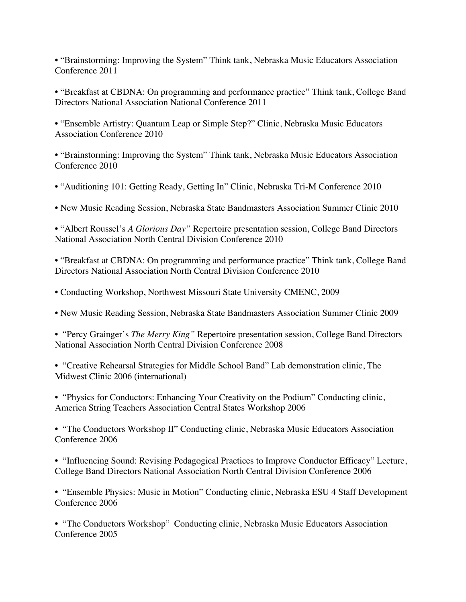• "Brainstorming: Improving the System" Think tank, Nebraska Music Educators Association Conference 2011

• "Breakfast at CBDNA: On programming and performance practice" Think tank, College Band Directors National Association National Conference 2011

• "Ensemble Artistry: Quantum Leap or Simple Step?" Clinic, Nebraska Music Educators Association Conference 2010

• "Brainstorming: Improving the System" Think tank, Nebraska Music Educators Association Conference 2010

• "Auditioning 101: Getting Ready, Getting In" Clinic, Nebraska Tri-M Conference 2010

• New Music Reading Session, Nebraska State Bandmasters Association Summer Clinic 2010

• "Albert Roussel's *A Glorious Day"* Repertoire presentation session, College Band Directors National Association North Central Division Conference 2010

• "Breakfast at CBDNA: On programming and performance practice" Think tank, College Band Directors National Association North Central Division Conference 2010

• Conducting Workshop, Northwest Missouri State University CMENC, 2009

• New Music Reading Session, Nebraska State Bandmasters Association Summer Clinic 2009

• "Percy Grainger's *The Merry King"* Repertoire presentation session, College Band Directors National Association North Central Division Conference 2008

• "Creative Rehearsal Strategies for Middle School Band" Lab demonstration clinic, The Midwest Clinic 2006 (international)

• "Physics for Conductors: Enhancing Your Creativity on the Podium" Conducting clinic, America String Teachers Association Central States Workshop 2006

• "The Conductors Workshop II" Conducting clinic, Nebraska Music Educators Association Conference 2006

• "Influencing Sound: Revising Pedagogical Practices to Improve Conductor Efficacy" Lecture, College Band Directors National Association North Central Division Conference 2006

• "Ensemble Physics: Music in Motion" Conducting clinic, Nebraska ESU 4 Staff Development Conference 2006

• "The Conductors Workshop" Conducting clinic, Nebraska Music Educators Association Conference 2005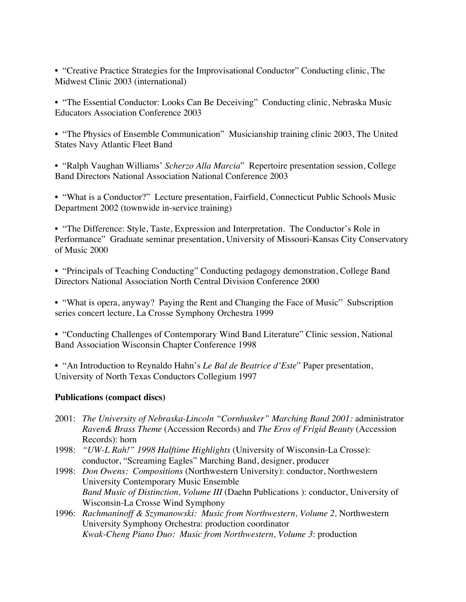• "Creative Practice Strategies for the Improvisational Conductor" Conducting clinic, The Midwest Clinic 2003 (international)

• "The Essential Conductor: Looks Can Be Deceiving" Conducting clinic, Nebraska Music Educators Association Conference 2003

• "The Physics of Ensemble Communication" Musicianship training clinic 2003, The United States Navy Atlantic Fleet Band

• "Ralph Vaughan Williams' *Scherzo Alla Marcia*" Repertoire presentation session, College Band Directors National Association National Conference 2003

• "What is a Conductor?" Lecture presentation, Fairfield, Connecticut Public Schools Music Department 2002 (townwide in-service training)

• "The Difference: Style, Taste, Expression and Interpretation. The Conductor's Role in Performance" Graduate seminar presentation, University of Missouri-Kansas City Conservatory of Music 2000

• "Principals of Teaching Conducting" Conducting pedagogy demonstration, College Band Directors National Association North Central Division Conference 2000

• "What is opera, anyway? Paying the Rent and Changing the Face of Music" Subscription series concert lecture, La Crosse Symphony Orchestra 1999

• "Conducting Challenges of Contemporary Wind Band Literature" Clinic session, National Band Association Wisconsin Chapter Conference 1998

• "An Introduction to Reynaldo Hahn's *Le Bal de Beatrice d'Este*" Paper presentation, University of North Texas Conductors Collegium 1997

## **Publications (compact discs)**

- 2001: *The University of Nebraska-Lincoln "Cornhusker" Marching Band 2001:* administrator *Raven& Brass Theme* (Accession Records) and *The Eros of Frigid Beauty* (Accession Records): horn
- 1998: *"UW-L Rah!" 1998 Halftime Highlights* (University of Wisconsin-La Crosse): conductor, "Screaming Eagles" Marching Band, designer, producer
- 1998: *Don Owens: Compositions* (Northwestern University): conductor, Northwestern University Contemporary Music Ensemble *Band Music of Distinction, Volume III* (Daehn Publications ): conductor, University of Wisconsin-La Crosse Wind Symphony
- 1996: *Rachmaninoff & Szymanowski: Music from Northwestern, Volume 2,* Northwestern University Symphony Orchestra: production coordinator *Kwak-Cheng Piano Duo: Music from Northwestern, Volume 3*: production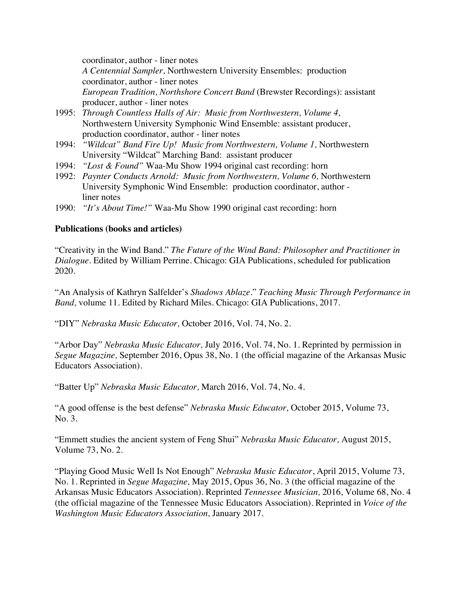coordinator, author - liner notes *A Centennial Sampler,* Northwestern University Ensembles: production coordinator, author - liner notes *European Tradition, Northshore Concert Band* (Brewster Recordings): assistant producer, author - liner notes

- 1995: *Through Countless Halls of Air: Music from Northwestern, Volume 4,* Northwestern University Symphonic Wind Ensemble: assistant producer, production coordinator, author - liner notes
- 1994: *"Wildcat" Band Fire Up! Music from Northwestern, Volume 1,* Northwestern University "Wildcat" Marching Band: assistant producer
- 1994: *"Lost & Found"* Waa-Mu Show 1994 original cast recording: horn
- 1992: *Paynter Conducts Arnold: Music from Northwestern, Volume 6,* Northwestern University Symphonic Wind Ensemble: production coordinator, author liner notes
- 1990: *"It's About Time!"* Waa-Mu Show 1990 original cast recording: horn

## **Publications (books and articles)**

"Creativity in the Wind Band." *The Future of the Wind Band: Philosopher and Practitioner in Dialogue.* Edited by William Perrine. Chicago: GIA Publications, scheduled for publication 2020.

"An Analysis of Kathryn Salfelder's *Shadows Ablaze*." *Teaching Music Through Performance in Band,* volume 11. Edited by Richard Miles. Chicago: GIA Publications, 2017.

"DIY" *Nebraska Music Educator,* October 2016, Vol. 74, No. 2.

"Arbor Day" *Nebraska Music Educator,* July 2016, Vol. 74, No. 1. Reprinted by permission in *Segue Magazine,* September 2016, Opus 38, No. 1 (the official magazine of the Arkansas Music Educators Association).

"Batter Up" *Nebraska Music Educator,* March 2016, Vol. 74, No. 4.

"A good offense is the best defense" *Nebraska Music Educator,* October 2015, Volume 73, No. 3.

"Emmett studies the ancient system of Feng Shui" *Nebraska Music Educator,* August 2015, Volume 73, No. 2.

"Playing Good Music Well Is Not Enough" *Nebraska Music Educator*, April 2015, Volume 73, No. 1. Reprinted in *Segue Magazine,* May 2015, Opus 36, No. 3 (the official magazine of the Arkansas Music Educators Association). Reprinted *Tennessee Musician,* 2016, Volume 68, No. 4 (the official magazine of the Tennessee Music Educators Association). Reprinted in *Voice of the Washington Music Educators Association,* January 2017.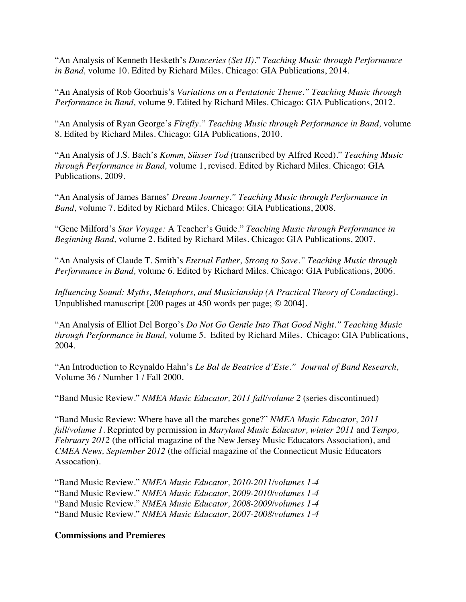"An Analysis of Kenneth Hesketh's *Danceries (Set II)*." *Teaching Music through Performance in Band,* volume 10. Edited by Richard Miles. Chicago: GIA Publications, 2014.

"An Analysis of Rob Goorhuis's *Variations on a Pentatonic Theme." Teaching Music through Performance in Band,* volume 9. Edited by Richard Miles. Chicago: GIA Publications, 2012.

"An Analysis of Ryan George's *Firefly." Teaching Music through Performance in Band,* volume 8. Edited by Richard Miles. Chicago: GIA Publications, 2010.

"An Analysis of J.S. Bach's *Komm, Süsser Tod (*transcribed by Alfred Reed)." *Teaching Music through Performance in Band,* volume 1, revised. Edited by Richard Miles. Chicago: GIA Publications, 2009.

"An Analysis of James Barnes' *Dream Journey." Teaching Music through Performance in Band,* volume 7. Edited by Richard Miles. Chicago: GIA Publications, 2008.

"Gene Milford's *Star Voyage:* A Teacher's Guide." *Teaching Music through Performance in Beginning Band,* volume 2. Edited by Richard Miles. Chicago: GIA Publications, 2007.

"An Analysis of Claude T. Smith's *Eternal Father, Strong to Save." Teaching Music through Performance in Band,* volume 6. Edited by Richard Miles. Chicago: GIA Publications, 2006.

*Influencing Sound: Myths, Metaphors, and Musicianship (A Practical Theory of Conducting).* Unpublished manuscript  $[200$  pages at 450 words per page;  $© 2004$ .

"An Analysis of Elliot Del Borgo's *Do Not Go Gentle Into That Good Night." Teaching Music through Performance in Band,* volume 5. Edited by Richard Miles. Chicago: GIA Publications, 2004.

"An Introduction to Reynaldo Hahn's *Le Bal de Beatrice d'Este." Journal of Band Research,*  Volume 36 / Number 1 / Fall 2000.

"Band Music Review." *NMEA Music Educator, 2011 fall/volume 2* (series discontinued)

"Band Music Review: Where have all the marches gone?" *NMEA Music Educator, 2011 fall/volume 1.* Reprinted by permission in *Maryland Music Educator, winter 2011* and *Tempo, February 2012* (the official magazine of the New Jersey Music Educators Association), and *CMEA News, September 2012* (the official magazine of the Connecticut Music Educators Assocation).

"Band Music Review." *NMEA Music Educator, 2010-2011/volumes 1-4* "Band Music Review." *NMEA Music Educator, 2009-2010/volumes 1-4* "Band Music Review." *NMEA Music Educator, 2008-2009/volumes 1-4* "Band Music Review." *NMEA Music Educator, 2007-2008/volumes 1-4*

## **Commissions and Premieres**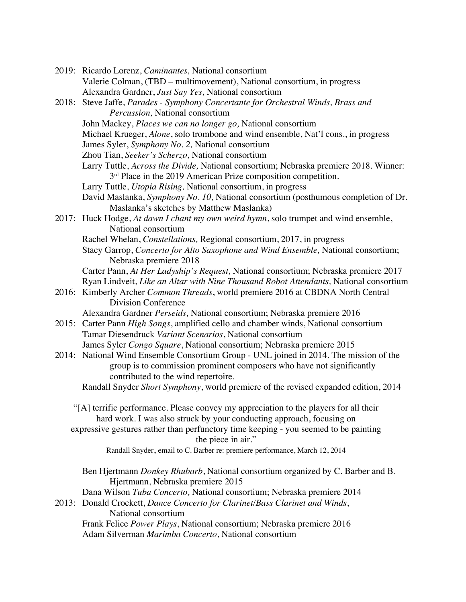|       | 2019: Ricardo Lorenz, Caminantes, National consortium                                                                          |
|-------|--------------------------------------------------------------------------------------------------------------------------------|
|       | Valerie Colman, (TBD – multimovement), National consortium, in progress                                                        |
|       | Alexandra Gardner, Just Say Yes, National consortium                                                                           |
|       | 2018: Steve Jaffe, Parades - Symphony Concertante for Orchestral Winds, Brass and                                              |
|       | Percussion, National consortium                                                                                                |
|       | John Mackey, Places we can no longer go, National consortium                                                                   |
|       | Michael Krueger, Alone, solo trombone and wind ensemble, Nat'l cons., in progress                                              |
|       | James Syler, Symphony No. 2, National consortium                                                                               |
|       | Zhou Tian, Seeker's Scherzo, National consortium                                                                               |
|       | Larry Tuttle, Across the Divide, National consortium; Nebraska premiere 2018. Winner:                                          |
|       | 3 <sup>rd</sup> Place in the 2019 American Prize composition competition.                                                      |
|       | Larry Tuttle, Utopia Rising, National consortium, in progress                                                                  |
|       | David Maslanka, Symphony No. 10, National consortium (posthumous completion of Dr.<br>Maslanka's sketches by Matthew Maslanka) |
|       | 2017: Huck Hodge, At dawn I chant my own weird hymn, solo trumpet and wind ensemble,<br>National consortium                    |
|       | Rachel Whelan, Constellations, Regional consortium, 2017, in progress                                                          |
|       | Stacy Garrop, Concerto for Alto Saxophone and Wind Ensemble, National consortium;                                              |
|       | Nebraska premiere 2018                                                                                                         |
|       | Carter Pann, At Her Ladyship's Request, National consortium; Nebraska premiere 2017                                            |
|       | Ryan Lindveit, Like an Altar with Nine Thousand Robot Attendants, National consortium                                          |
|       | 2016: Kimberly Archer Common Threads, world premiere 2016 at CBDNA North Central                                               |
|       | <b>Division Conference</b>                                                                                                     |
|       | Alexandra Gardner Perseids, National consortium; Nebraska premiere 2016                                                        |
| 2015: | Carter Pann High Songs, amplified cello and chamber winds, National consortium                                                 |
|       | Tamar Diesendruck Variant Scenarios, National consortium                                                                       |
|       | James Syler Congo Square, National consortium; Nebraska premiere 2015                                                          |
|       | 2014: National Wind Ensemble Consortium Group - UNL joined in 2014. The mission of the                                         |
|       | group is to commission prominent composers who have not significantly                                                          |
|       | contributed to the wind repertoire.                                                                                            |
|       | Randall Snyder Short Symphony, world premiere of the revised expanded edition, 2014                                            |
|       |                                                                                                                                |
|       | "[A] terrific performance. Please convey my appreciation to the players for all their                                          |
|       | hard work. I was also struck by your conducting approach, focusing on                                                          |
|       | expressive gestures rather than perfunctory time keeping - you seemed to be painting<br>the piece in air."                     |
|       | Randall Snyder, email to C. Barber re: premiere performance, March 12, 2014                                                    |
|       |                                                                                                                                |
|       | Ben Hjertmann <i>Donkey Rhubarb</i> , National consortium organized by C. Barber and B.<br>Hjertmann, Nebraska premiere 2015   |
|       | Dana Wilson Tuba Concerto, National consortium; Nebraska premiere 2014                                                         |
| 2013: | Donald Crockett, Dance Concerto for Clarinet/Bass Clarinet and Winds,                                                          |
|       | National consortium                                                                                                            |
|       | Frank Felice Power Plays, National consortium; Nebraska premiere 2016                                                          |
|       | Adam Silverman Marimba Concerto, National consortium                                                                           |
|       |                                                                                                                                |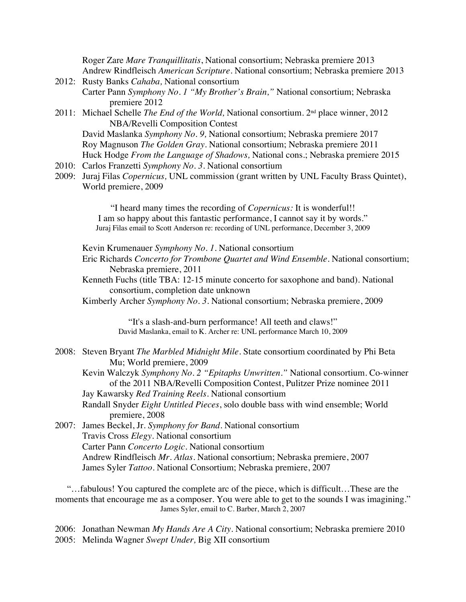Roger Zare *Mare Tranquillitatis*, National consortium; Nebraska premiere 2013 Andrew Rindfleisch *American Scripture.* National consortium; Nebraska premiere 2013

- 2012: Rusty Banks *Cahaba,* National consortium Carter Pann *Symphony No. 1 "My Brother's Brain,"* National consortium; Nebraska premiere 2012
- 2011: Michael Schelle *The End of the World,* National consortium. 2nd place winner, 2012 NBA/Revelli Composition Contest

David Maslanka *Symphony No. 9,* National consortium; Nebraska premiere 2017 Roy Magnuson *The Golden Gray*. National consortium; Nebraska premiere 2011 Huck Hodge *From the Language of Shadows,* National cons.; Nebraska premiere 2015

- 2010: Carlos Franzetti *Symphony No. 3.* National consortium
- 2009: Juraj Filas *Copernicus,* UNL commission (grant written by UNL Faculty Brass Quintet), World premiere, 2009

"I heard many times the recording of *Copernicus:* It is wonderful!! I am so happy about this fantastic performance, I cannot say it by words." Juraj Filas email to Scott Anderson re: recording of UNL performance, December 3, 2009

Kevin Krumenauer *Symphony No. 1.* National consortium

- Eric Richards *Concerto for Trombone Quartet and Wind Ensemble.* National consortium; Nebraska premiere, 2011
- Kenneth Fuchs (title TBA: 12-15 minute concerto for saxophone and band). National consortium, completion date unknown

Kimberly Archer *Symphony No. 3.* National consortium; Nebraska premiere, 2009

"It's a slash-and-burn performance! All teeth and claws!" David Maslanka, email to K. Archer re: UNL performance March 10, 2009

2008: Steven Bryant *The Marbled Midnight Mile.* State consortium coordinated by Phi Beta Mu; World premiere, 2009

Kevin Walczyk *Symphony No. 2 "Epitaphs Unwritten."* National consortium. Co-winner of the 2011 NBA/Revelli Composition Contest, Pulitzer Prize nominee 2011 Jay Kawarsky *Red Training Reels*. National consortium

Randall Snyder *Eight Untitled Pieces*, solo double bass with wind ensemble; World premiere, 2008

2007: James Beckel, Jr. *Symphony for Band*. National consortium Travis Cross *Elegy.* National consortium Carter Pann *Concerto Logic.* National consortium Andrew Rindfleisch *Mr. Atlas*. National consortium; Nebraska premiere, 2007 James Syler *Tattoo.* National Consortium; Nebraska premiere, 2007

"…fabulous! You captured the complete arc of the piece, which is difficult…These are the moments that encourage me as a composer. You were able to get to the sounds I was imagining." James Syler, email to C. Barber, March 2, 2007

2006: Jonathan Newman *My Hands Are A City*. National consortium; Nebraska premiere 2010 2005: Melinda Wagner *Swept Under,* Big XII consortium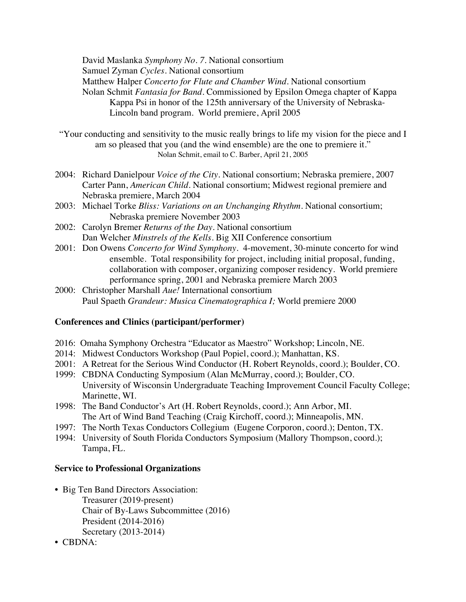David Maslanka *Symphony No. 7.* National consortium Samuel Zyman *Cycles*. National consortium Matthew Halper *Concerto for Flute and Chamber Wind.* National consortium Nolan Schmit *Fantasia for Band.* Commissioned by Epsilon Omega chapter of Kappa Kappa Psi in honor of the 125th anniversary of the University of Nebraska-Lincoln band program. World premiere, April 2005

"Your conducting and sensitivity to the music really brings to life my vision for the piece and I am so pleased that you (and the wind ensemble) are the one to premiere it." Nolan Schmit, email to C. Barber, April 21, 2005

- 2004: Richard Danielpour *Voice of the City.* National consortium; Nebraska premiere, 2007 Carter Pann, *American Child.* National consortium; Midwest regional premiere and Nebraska premiere, March 2004
- 2003: Michael Torke *Bliss: Variations on an Unchanging Rhythm.* National consortium; Nebraska premiere November 2003
- 2002: Carolyn Bremer *Returns of the Day*. National consortium Dan Welcher *Minstrels of the Kells.* Big XII Conference consortium
- 2001: Don Owens *Concerto for Wind Symphony.* 4-movement, 30-minute concerto for wind ensemble. Total responsibility for project, including initial proposal, funding, collaboration with composer, organizing composer residency. World premiere performance spring, 2001 and Nebraska premiere March 2003
- 2000: Christopher Marshall *Aue!* International consortium Paul Spaeth *Grandeur: Musica Cinematographica I;* World premiere 2000

## **Conferences and Clinics (participant/performer)**

- 2016: Omaha Symphony Orchestra "Educator as Maestro" Workshop; Lincoln, NE.
- 2014: Midwest Conductors Workshop (Paul Popiel, coord.); Manhattan, KS.
- 2001: A Retreat for the Serious Wind Conductor (H. Robert Reynolds, coord.); Boulder, CO.
- 1999: CBDNA Conducting Symposium (Alan McMurray, coord.); Boulder, CO. University of Wisconsin Undergraduate Teaching Improvement Council Faculty College; Marinette, WI.
- 1998: The Band Conductor's Art (H. Robert Reynolds, coord.); Ann Arbor, MI. The Art of Wind Band Teaching (Craig Kirchoff, coord.); Minneapolis, MN.
- 1997: The North Texas Conductors Collegium (Eugene Corporon, coord.); Denton, TX.
- 1994: University of South Florida Conductors Symposium (Mallory Thompson, coord.); Tampa, FL.

## **Service to Professional Organizations**

- Big Ten Band Directors Association: Treasurer (2019-present) Chair of By-Laws Subcommittee (2016) President (2014-2016) Secretary (2013-2014)
- CBDNA: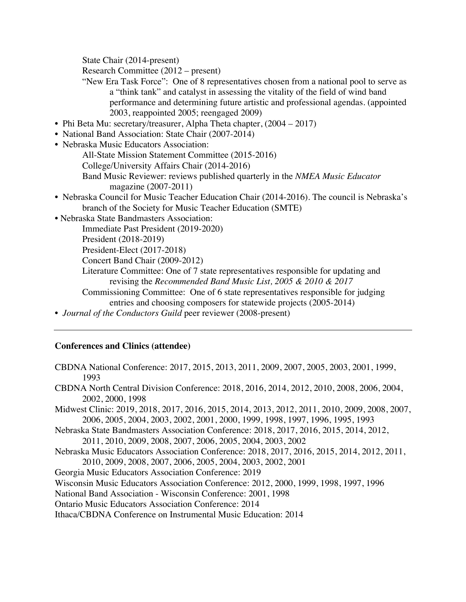State Chair (2014-present)

Research Committee (2012 – present)

- "New Era Task Force": One of 8 representatives chosen from a national pool to serve as a "think tank" and catalyst in assessing the vitality of the field of wind band performance and determining future artistic and professional agendas. (appointed 2003, reappointed 2005; reengaged 2009)
- Phi Beta Mu: secretary/treasurer, Alpha Theta chapter,  $(2004 2017)$
- National Band Association: State Chair (2007-2014)
- Nebraska Music Educators Association:
	- All-State Mission Statement Committee (2015-2016)
	- College/University Affairs Chair (2014-2016)
		- Band Music Reviewer: reviews published quarterly in the *NMEA Music Educator*  magazine (2007-2011)
- Nebraska Council for Music Teacher Education Chair (2014-2016). The council is Nebraska's branch of the Society for Music Teacher Education (SMTE)
- Nebraska State Bandmasters Association:

Immediate Past President (2019-2020)

President (2018-2019)

President-Elect (2017-2018)

Concert Band Chair (2009-2012)

Literature Committee: One of 7 state representatives responsible for updating and revising the *Recommended Band Music List, 2005 & 2010 & 2017*

Commissioning Committee: One of 6 state representatives responsible for judging entries and choosing composers for statewide projects (2005-2014)

• *Journal of the Conductors Guild* peer reviewer (2008-present)

## **Conferences and Clinics (attendee)**

- CBDNA National Conference: 2017, 2015, 2013, 2011, 2009, 2007, 2005, 2003, 2001, 1999, 1993
- CBDNA North Central Division Conference: 2018, 2016, 2014, 2012, 2010, 2008, 2006, 2004, 2002, 2000, 1998
- Midwest Clinic: 2019, 2018, 2017, 2016, 2015, 2014, 2013, 2012, 2011, 2010, 2009, 2008, 2007, 2006, 2005, 2004, 2003, 2002, 2001, 2000, 1999, 1998, 1997, 1996, 1995, 1993
- Nebraska State Bandmasters Association Conference: 2018, 2017, 2016, 2015, 2014, 2012, 2011, 2010, 2009, 2008, 2007, 2006, 2005, 2004, 2003, 2002
- Nebraska Music Educators Association Conference: 2018, 2017, 2016, 2015, 2014, 2012, 2011, 2010, 2009, 2008, 2007, 2006, 2005, 2004, 2003, 2002, 2001

Georgia Music Educators Association Conference: 2019

Wisconsin Music Educators Association Conference: 2012, 2000, 1999, 1998, 1997, 1996

National Band Association - Wisconsin Conference: 2001, 1998

Ontario Music Educators Association Conference: 2014

Ithaca/CBDNA Conference on Instrumental Music Education: 2014